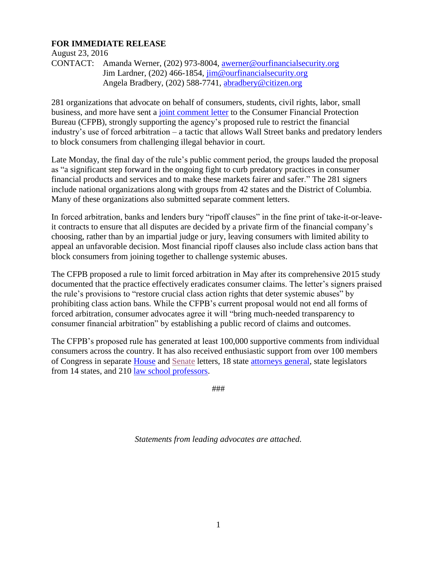# **FOR IMMEDIATE RELEASE**

August 23, 2016

CONTACT: Amanda Werner, (202) 973-8004, [awerner@ourfinancialsecurity.org](mailto:awerner@ourfinancialsecurity.org) Jim Lardner, (202) 466-1854, [jim@ourfinancialsecurity.org](mailto:jim@ourfinancialsecurity.org) Angela Bradbery, (202) 588-7741, [abradbery@citizen.org](mailto:abradbery@citizen.org)

281 organizations that advocate on behalf of consumers, students, civil rights, labor, small business, and more have sent a [joint comment letter](http://ourfinancialsecurity.org/2016/08/letter-regulators-afr-280-groups-strongly-support-cfpb-action-forced-arbitration/) to the Consumer Financial Protection Bureau (CFPB), strongly supporting the agency's proposed rule to restrict the financial industry's use of forced arbitration – a tactic that allows Wall Street banks and predatory lenders to block consumers from challenging illegal behavior in court.

Late Monday, the final day of the rule's public comment period, the groups lauded the proposal as "a significant step forward in the ongoing fight to curb predatory practices in consumer financial products and services and to make these markets fairer and safer." The 281 signers include national organizations along with groups from 42 states and the District of Columbia. Many of these organizations also submitted separate comment letters.

In forced arbitration, banks and lenders bury "ripoff clauses" in the fine print of take-it-or-leaveit contracts to ensure that all disputes are decided by a private firm of the financial company's choosing, rather than by an impartial judge or jury, leaving consumers with limited ability to appeal an unfavorable decision. Most financial ripoff clauses also include class action bans that block consumers from joining together to challenge systemic abuses.

The CFPB proposed a rule to limit forced arbitration in May after its comprehensive 2015 study documented that the practice effectively eradicates consumer claims. The letter's signers praised the rule's provisions to "restore crucial class action rights that deter systemic abuses" by prohibiting class action bans. While the CFPB's current proposal would not end all forms of forced arbitration, consumer advocates agree it will "bring much-needed transparency to consumer financial arbitration" by establishing a public record of claims and outcomes.

The CFPB's proposed rule has generated at least 100,000 supportive comments from individual consumers across the country. It has also received enthusiastic support from over 100 members of Congress in separate [House](https://www.regulations.gov/document?D=CFPB-2016-0020-1469) and [Senate](https://www.regulations.gov/document?D=CFPB-2016-0020-1482) letters, 18 state [attorneys general,](http://www.mass.gov/ago/docs/consumer/cfpb-multistate-letter.pdf) state legislators from 14 states, and 210 [law school professors.](https://www.regulations.gov/document?D=CFPB-2016-0020-0003)

###

*Statements from leading advocates are attached.*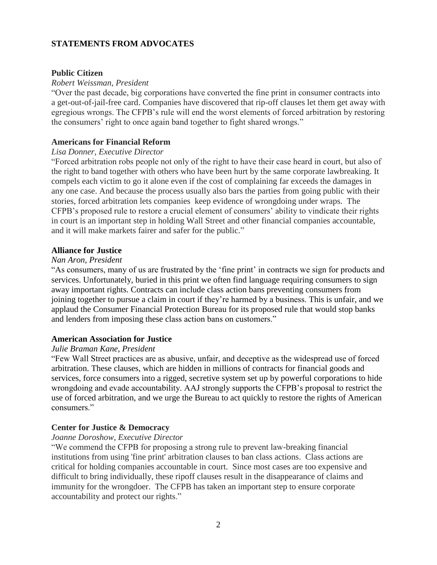# **STATEMENTS FROM ADVOCATES**

## **Public Citizen**

## *Robert Weissman, President*

"Over the past decade, big corporations have converted the fine print in consumer contracts into a get-out-of-jail-free card. Companies have discovered that rip-off clauses let them get away with egregious wrongs. The CFPB's rule will end the worst elements of forced arbitration by restoring the consumers' right to once again band together to fight shared wrongs."

# **Americans for Financial Reform**

#### *Lisa Donner, Executive Director*

"Forced arbitration robs people not only of the right to have their case heard in court, but also of the right to band together with others who have been hurt by the same corporate lawbreaking. It compels each victim to go it alone even if the cost of complaining far exceeds the damages in any one case. And because the process usually also bars the parties from going public with their stories, forced arbitration lets companies keep evidence of wrongdoing under wraps. The CFPB's proposed rule to restore a crucial element of consumers' ability to vindicate their rights in court is an important step in holding Wall Street and other financial companies accountable, and it will make markets fairer and safer for the public."

## **Alliance for Justice**

## *Nan Aron, President*

"As consumers, many of us are frustrated by the 'fine print' in contracts we sign for products and services. Unfortunately, buried in this print we often find language requiring consumers to sign away important rights. Contracts can include class action bans preventing consumers from joining together to pursue a claim in court if they're harmed by a business. This is unfair, and we applaud the Consumer Financial Protection Bureau for its proposed rule that would stop banks and lenders from imposing these class action bans on customers."

## **American Association for Justice**

#### *Julie Braman Kane, President*

"Few Wall Street practices are as abusive, unfair, and deceptive as the widespread use of forced arbitration. These clauses, which are hidden in millions of contracts for financial goods and services, force consumers into a rigged, secretive system set up by powerful corporations to hide wrongdoing and evade accountability. AAJ strongly supports the CFPB's proposal to restrict the use of forced arbitration, and we urge the Bureau to act quickly to restore the rights of American consumers."

## **Center for Justice & Democracy**

## *Joanne Doroshow, Executive Director*

"We commend the CFPB for proposing a strong rule to prevent law-breaking financial institutions from using 'fine print' arbitration clauses to ban class actions. Class actions are critical for holding companies accountable in court. Since most cases are too expensive and difficult to bring individually, these ripoff clauses result in the disappearance of claims and immunity for the wrongdoer. The CFPB has taken an important step to ensure corporate accountability and protect our rights."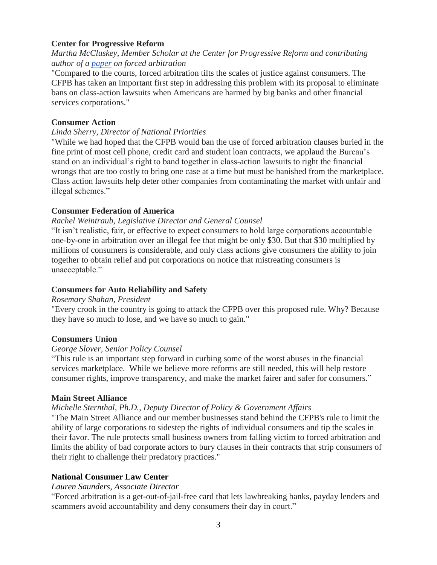# **Center for Progressive Reform**

*Martha McCluskey, Member Scholar at the Center for Progressive Reform and contributing author of a [paper](http://bit.ly/1rFIG5Q) on forced arbitration*

"Compared to the courts, forced arbitration tilts the scales of justice against consumers. The CFPB has taken an important first step in addressing this problem with its proposal to eliminate bans on class-action lawsuits when Americans are harmed by big banks and other financial services corporations."

# **Consumer Action**

## *Linda Sherry, Director of National Priorities*

"While we had hoped that the CFPB would ban the use of forced arbitration clauses buried in the fine print of most cell phone, credit card and student loan contracts, we applaud the Bureau's stand on an individual's right to band together in class-action lawsuits to right the financial wrongs that are too costly to bring one case at a time but must be banished from the marketplace. Class action lawsuits help deter other companies from contaminating the market with unfair and illegal schemes."

## **Consumer Federation of America**

## *Rachel Weintraub, Legislative Director and General Counsel*

"It isn't realistic, fair, or effective to expect consumers to hold large corporations accountable one-by-one in arbitration over an illegal fee that might be only \$30. But that \$30 multiplied by millions of consumers is considerable, and only class actions give consumers the ability to join together to obtain relief and put corporations on notice that mistreating consumers is unacceptable."

## **Consumers for Auto Reliability and Safety**

## *Rosemary Shahan, President*

"Every crook in the country is going to attack the CFPB over this proposed rule. Why? Because they have so much to lose, and we have so much to gain."

## **Consumers Union**

## *George Slover, Senior Policy Counsel*

"This rule is an important step forward in curbing some of the worst abuses in the financial services marketplace. While we believe more reforms are still needed, this will help restore consumer rights, improve transparency, and make the market fairer and safer for consumers."

## **Main Street Alliance**

## *Michelle Sternthal, Ph.D., Deputy Director of Policy & Government Affairs*

"The Main Street Alliance and our member businesses stand behind the CFPB's rule to limit the ability of large corporations to sidestep the rights of individual consumers and tip the scales in their favor. The rule protects small business owners from falling victim to forced arbitration and limits the ability of bad corporate actors to bury clauses in their contracts that strip consumers of their right to challenge their predatory practices."

# **National Consumer Law Center**

## *Lauren Saunders, Associate Director*

"Forced arbitration is a get-out-of-jail-free card that lets lawbreaking banks, payday lenders and scammers avoid accountability and deny consumers their day in court."